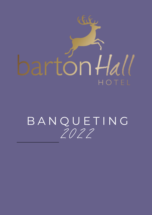

# 2 02 2 BANQUETING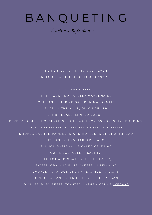

THE PERFECT START TO YOUR EVENT INCLUDES A CHOICE OF FOUR CANAPÉS.

CRISP LAMB BELLY HAM HOCK AND PARSLEY MAYONNAISE SQUID AND CHORIZO SAFFRON MAYONNAISE TOAD IN THE HOLE, ONION RELISH LAMB KEBABS, MINTED YOGURT PEPPERED BEEF, HORSERADISH, AND WATERCRESS YORKSHIRE PUDDING, PIGS IN BLANKETS. HONEY AND MUSTARD DRESSING SMOKED SALMON PARMESAN AND HORSERADISH SHORTBREAD FISH AND CHIPS, TARTARE SAUCE SALMON PASTRAMI, PICKLED CELERIAC QUAIL EGG, CELERY SALT\_(V) SHALLOT AND GOAT'S CHEESE TART (V) SWEETCORN AND BLUE CHEESE MUFFINS (V) SMOKED TOFU, BOK CHOY AND GINGER (VEGAN) CORNBREAD AND REFRIED BEAN BITES (VEGAN) PICKLED BABY BEETS, TOASTED CASHEW CRUMB (VEGAN)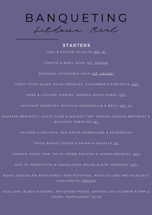

**STARTERS** LEEK & POTATO VELOUTÉ (GF, V) TOMATO & BASIL SOUP (CF, VEGAN) SEASONAL VEGETABLE SOUP (GF, VEGAN) CONFIT DUCK SALAD, PLUM DRESSING, CUCUMBER & PINE NUTS (CF) PORK & CHICKEN TERRINE, SMOKED APPLE PUREE (GF) HERITAGE TOMATOES, BUFFALO MOZZARELLA & BASIL (GF, V) ROASTED BEETROOT, GOATS CURD & WALNUT TART SHAVED GOLDEN BEETROOT & BALSAMIC DRESSING (V) CHICKEN LIVER PATE, RED ONION MARMALADE & SOURDOUGH TWICE BAKED CHEESE & SPINACH SOUFFLE (V) SMOKED TROUT TIAN, CHIVE CRÈME FRAICHE & LEMON DRESSING (CF) DUO OF PROSCIUTTO & CANTALOUPE MELON & MINT DRESSING (CF) ROAST JERUSALEM ARTICHOKES, NEW POTATOES, PICKLED LEEK AND HAZELNUT VINAIGRETTE (VEGAN) SCALLOPS, BLACK PUDDING, ARTICHOKE PUREE, SHAVED CAULIFLOWER & APPLE

CRISPS \* SUPPLEMENT £5.00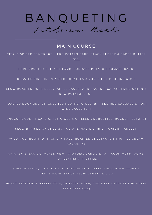

# **MAIN COURSE**

CITRUS SPICED SEA TROUT, HERB POTATO CAKE, BLACK PEPPER & CAPER BUTTER  $(C F)$ 

HERB CRUSTED RUMP OF LAMB, FONDANT POTATO & TOMATO RAGU.

ROASTED SIRLOIN, ROASTED POTATOES & YORKSHIRE PUDDING & JUS

SLOW ROASTED PORK BELLY, APPLE SAUCE, AND BACON & CARAMELIZED ONION & N E W POTATOES (GF)

ROASTED DUCK BREAST, CRUSHED NEW POTATOES, BRAISED RED CABBAGE & PORT WINE SAUCE (GF)

G NOCCHI, CONFIT GARLIC, TOMATOES & GRILLED COURGETTES, ROCKET PESTO (V)

SLOW BRAISED OX CHEEKS, MUSTARD MASH, CARROT, ONION, PARSLEY.

WILD MUSHROOM TART, CRISPY KALE, ROASTED CHESTNUTS & TRUFFLE CREAM  $S A U C E. (V)$ 

CHICKEN BREAST, CRUSHED NEW POTATOES, GARLIC & TARRAGON MUSHROOMS, PUY LENTILS & TRUFFLE.

SIRLOIN STEAK, POTATO & STILTON GRATIN, GRILLED FIELD MUSHROOMS & PEPPERCORN SAUCE. \*SUPPLEMENT £10.00

ROAST VEGETABLE WELLINGTON, MUSTARD MASH, AND BABY CARROTS & PUMPKIN S E E D P E S T O . (V)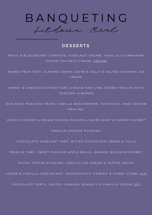

### **DESSERTS**

A P P L E & B L A C K B E R R Y COMPOTE, HAZELNUT CRUMB. VANILLA & CINNAMON-SPICED COCONUT CREAM (VEGAN)

BAKED PEAR TART, ALMOND CREAM, QUINCE JELLY & SALTED CARAMEL ICE C R E A M .

HONEY & GINGER CUSTARD TART, GINGER AND LIME CRÈME FRAICHE WITH TOASTED ALMONDS

RED WINE POACHED PEARS VANILLA MASCARPONE, PISTACHIO, AND CASHEW P R A L I N E.

KIRSCH CHERRY & CREAM CHEESE PAVLOVA, MICRO MINT & CHERRY SORBET

TREACLE SPONGE PUDDING.

CHOCOLATE HAZELNUT TART, BITTER CHOCOLATE CREAM & TULLE

TREACLE TART, SWEET PICKLED APPLE BALLS, ORANGE BLOSSOM SORBET.

STICKY TOFFEE PUDDING, VANILLA ICE CREAM & TOFFEE SAUCE.

LEMON & VANILLA CHEESECAKE, PASSIONFRUIT PARFAIT & HONEY COMB. (GF)

C HO COLATE TORTE, SALTED CARAMEL PEANUTS & VANILLA CREAM (GF)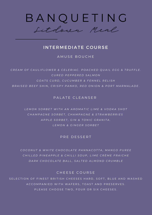

# INTERMEDIATE COURSE

A MUSE BOUCHE

CREAM OF CAULIFLOWER & CELERIAC. POACHED QUAIL EGG & TRUFFLE. *C U R E D P E P P E R E D S A L M O N* GOATS CURD, CUCUMBER & FENNEL RELISH BRAISED BEEF SHIN, CRISPY PANKO, RED ONION & PORT MARMALADE.

PALATE CLEANSER

LEMON SORBET WITH AN AROMATIC LIME & VODKA SHOT CHAMPAGNE SORBET, CHAMPAGNE & STRAWBERRIES APPLE SORBET, GIN & TONIC GRANITA. *L E M O N & G I N G E R S O R B E T*

PRE DESSERT

COCONUT & WHITE CHOCOLATE PANNACOTTA, MANGO PUREE CHILLED PINEAPPLE & CHILLI SOUP, LIME CRÈME FRAICHE DARK CHOCOLATE BALL, SALTED ALMOND CRUMBLE

CHEESE COURSE

SELECTION OF FINEST BRITISH CHEESES HARD, SOFT, BLUE AND WASHED A C C O M P A N I ED W IT H W A F E R S, TO A ST AN D P R E S E R V E S. PLEASE CHOOSE TWO, FOUR OR SIX CHEESES.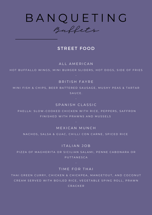

Buffets

## STREET FOOD

#### ALL AMERICAN

HOT BUFFALLO WINGS, MINI BURGER SLIDERS, HOT DOGS, SIDE OF FRIES

#### B R I T I S H F A Y R E

MINI FISH & CHIPS, BEER BATTERED SAUSAGE, MUSHY PEAS & TARTAR SAUCE.

#### S P A N I S H C L A S S I C

PAELLA: SLOW-COOKED CHICKEN WITH RICE, PEPPERS, SAFFRON FINISHED WITH PRAWNS AND MUSSELS

MEXICAN MUNCH

NACHOS, SALSA & GUAC, CHILLI CON CARNE, SPICED RICE

ITALIAN JOB

PIZZA OF MAGHERITA OR SICILIAN SALAMI, PENNE CABONARA OR **PUTTANESCA** 

TIME FOR THAI

THAI GREEN CURRY, CHICKEN & CHICKPEA, MANGETOUT, AND COCONUT CREAM SERVED WITH BOILED RICE, VEGETABLE SPING ROLL, PRAWN

**C R A C K E R**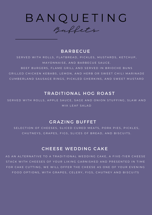

#### **BARBECUE**

SERVED WITH ROLLS, FLATBREAD, PICKLES, MUSTARDS, KETCHUP, MAYONNAISE, AND BARBECUE SAUCE. BEEF BURGERS, FLAME GRILL AND SERVED IN BRIOCHE BUNS GRILLED CHICKEN KEBABS, LEMON, AND HERB OR SWEET CHILI MARINADE CUMBERLAND SAUSAGE RINGS, PICKLED GHERKINS, AND SWEET MUSTARD

# TRADITIONAL HOG ROAST

SERVED WITH ROLLS, APPLE SAUCE, SAGE AND ONION STUFFING, SLAW AND MIX LEAF SALAD

### GRAZING BUFFET

SELECTION OF CHEESES, SLICED CURED MEATS, PORK PIES, PICKLES, CHUTNEYS, GRAPES, FIGS, SLICES OF BREAD, AND BISCUITS.

# **CHEESE WEDDING CAKE**

AS AN ALTERNATIVE TO A TRADITIONAL WEDDING CAKE, A FIVE-TIER CHEESE STACK WITH CHEESES OF YOUR LIKING GARNISHED AND PRESENTED IN TIME FOR CAKE CUTTING. WE WILL OFFER THE CHEESE AS ONE OF YOUR EVENING FOOD OPTIONS, WITH GRAPES, CELERY, FIGS, CHUTNEY AND BISCUITS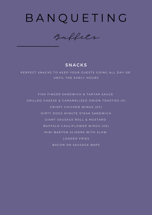

Buffets

# **SNACKS**

PERFECT SNACKS TO KEEP YOUR GUESTS GOING ALL DAY OR UNTIL THE EARLY HOURS

FISH FINGER SANDWICH & TARTAR SAUCE GRILLED CHEESE & CARAMELIZED ONION TOASTIES (V) CRISPY CHICKEN WINGS (GF) D I R T Y DOGS MINUTE STEAK SAND WICH GIANT SAUSAGE ROLL & MUSTARD BUFFALO CAULIFLOWER WINGS (VE) MINI BARTON SLIDERS WITH SLAW LOADED FRIES BACON OR SAUSAGE BAPS